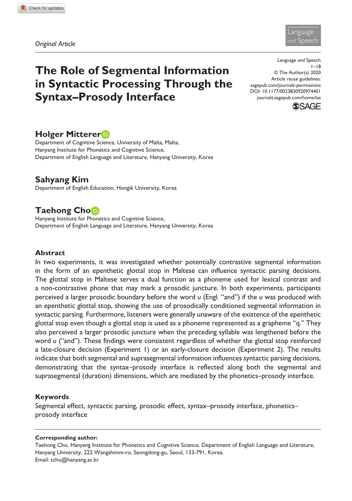*Original Article*



# **The Role of Segmental Information in Syntactic Processing Through the Syntax–Prosody Interface**

DOI: 10.1177/0023830920974401 Language *and* Speech  $I-I8$ © The Author(s) 2020 Article reuse guidelines: [sagepub.com/journals-permissions](https://uk.sagepub.com/en-gb/journals-permissions) [journals.sagepub.com/home/las](https://journals.sagepub.com/home/las)



# **Holger Mitterer**

Department of Cognitive Science, University of Malta, Malta; Hanyang Institute for Phonetics and Cognitive Science, Department of English Language and Literature, Hanyang University, Korea

# **Sahyang Kim**

Department of English Education, Hongik University, Korea

# **Taehong Cho**

Hanyang Institute for Phonetics and Cognitive Science, Department of English Language and Literature, Hanyang University, Korea

#### **Abstract**

In two experiments, it was investigated whether potentially contrastive segmental information in the form of an epenthetic glottal stop in Maltese can influence syntactic parsing decisions. The glottal stop in Maltese serves a dual function as a phoneme used for lexical contrast and a non-contrastive phone that may mark a prosodic juncture. In both experiments, participants perceived a larger prosodic boundary before the word *u* (Engl. "and") if the *u* was produced with an epenthetic glottal stop, showing the use of prosodically conditioned segmental information in syntactic parsing. Furthermore, listeners were generally unaware of the existence of the epenthetic glottal stop even though a glottal stop is used as a phoneme represented as a grapheme "q." They also perceived a larger prosodic juncture when the preceding syllable was lengthened before the word *u* ("and"). These findings were consistent regardless of whether the glottal stop reinforced a late-closure decision (Experiment 1) or an early-closure decision (Experiment 2). The results indicate that both segmental and suprasegmental information influences syntactic parsing decisions, demonstrating that the syntax–prosody interface is reflected along both the segmental and suprasegmental (duration) dimensions, which are mediated by the phonetics–prosody interface.

### **Keywords**

Segmental effect, syntactic parsing, prosodic effect, syntax–prosody interface, phonetics– prosody interface

#### **Corresponding author:**

Taehong Cho, Hanyang Institute for Phonetics and Cognitive Science, Department of English Language and Literature, Hanyang University, 222 Wangshimni-ro, Seongdong-gu, Seoul, 133-791, Korea. Email: [tcho@hanyang.ac.kr](mailto:tcho@hanyang.ac.kr)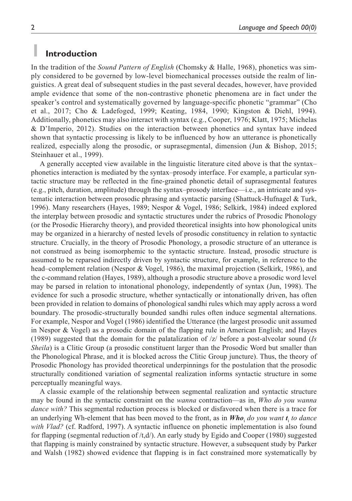# **1 Introduction**

In the tradition of the *Sound Pattern of English* (Chomsky & Halle, 1968), phonetics was simply considered to be governed by low-level biomechanical processes outside the realm of linguistics. A great deal of subsequent studies in the past several decades, however, have provided ample evidence that some of the non-contrastive phonetic phenomena are in fact under the speaker's control and systematically governed by language-specific phonetic "grammar" (Cho et al., 2017; Cho & Ladefoged, 1999; Keating, 1984, 1990; Kingston & Diehl, 1994). Additionally, phonetics may also interact with syntax (e.g., Cooper, 1976; Klatt, 1975; Michelas & D'Imperio, 2012). Studies on the interaction between phonetics and syntax have indeed shown that syntactic processing is likely to be influenced by how an utterance is phonetically realized, especially along the prosodic, or suprasegmental, dimension (Jun & Bishop, 2015; Steinhauer et al., 1999).

A generally accepted view available in the linguistic literature cited above is that the syntax– phonetics interaction is mediated by the syntax–prosody interface. For example, a particular syntactic structure may be reflected in the fine-grained phonetic detail of suprasegmental features (e.g., pitch, duration, amplitude) through the syntax–prosody interface—i.e., an intricate and systematic interaction between prosodic phrasing and syntactic parsing (Shattuck-Hufnagel & Turk, 1996). Many researchers (Hayes, 1989; Nespor & Vogel, 1986; Selkirk, 1984) indeed explored the interplay between prosodic and syntactic structures under the rubrics of Prosodic Phonology (or the Prosodic Hierarchy theory), and provided theoretical insights into how phonological units may be organized in a hierarchy of nested levels of prosodic constituency in relation to syntactic structure. Crucially, in the theory of Prosodic Phonology, a prosodic structure of an utterance is not construed as being isomorphemic to the syntactic structure. Instead, prosodic structure is assumed to be reparsed indirectly driven by syntactic structure, for example, in reference to the head–complement relation (Nespor & Vogel, 1986), the maximal projection (Selkirk, 1986), and the c-command relation (Hayes, 1989), although a prosodic structure above a prosodic word level may be parsed in relation to intonational phonology, independently of syntax (Jun, 1998). The evidence for such a prosodic structure, whether syntactically or intonationally driven, has often been provided in relation to domains of phonological sandhi rules which may apply across a word boundary. The prosodic-structurally bounded sandhi rules often induce segmental alternations. For example, Nespor and Vogel (1986) identified the Utterance (the largest prosodic unit assumed in Nespor & Vogel) as a prosodic domain of the flapping rule in American English; and Hayes (1989) suggested that the domain for the palatalization of /z/ before a post-alveolar sound (*Is Sheila*) is a Clitic Group (a prosodic constituent larger than the Prosodic Word but smaller than the Phonological Phrase, and it is blocked across the Clitic Group juncture). Thus, the theory of Prosodic Phonology has provided theoretical underpinnings for the postulation that the prosodic structurally conditioned variation of segmental realization informs syntactic structure in some perceptually meaningful ways.

A classic example of the relationship between segmental realization and syntactic structure may be found in the syntactic constraint on the *wanna* contraction—as in, *Who do you wanna dance with?* This segmental reduction process is blocked or disfavored when there is a trace for an underlying Wh-element that has been moved to the front, as in *Who*<sub>i</sub> *do you want*  $t_i$  *to dance with Vlad?* (cf. Radford, 1997). A syntactic influence on phonetic implementation is also found for flapping (segmental reduction of  $/t, d$ ). An early study by Egido and Cooper (1980) suggested that flapping is mainly constrained by syntactic structure. However, a subsequent study by Parker and Walsh (1982) showed evidence that flapping is in fact constrained more systematically by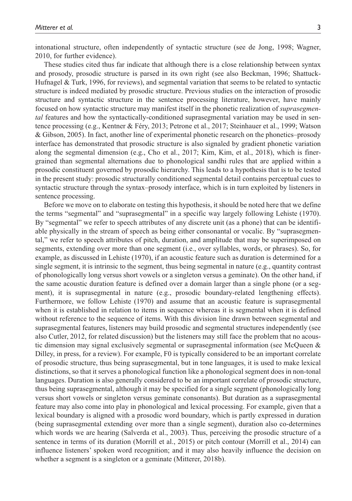intonational structure, often independently of syntactic structure (see de Jong, 1998; Wagner, 2010, for further evidence).

These studies cited thus far indicate that although there is a close relationship between syntax and prosody, prosodic structure is parsed in its own right (see also Beckman, 1996; Shattuck-Hufnagel & Turk, 1996, for reviews), and segmental variation that seems to be related to syntactic structure is indeed mediated by prosodic structure. Previous studies on the interaction of prosodic structure and syntactic structure in the sentence processing literature, however, have mainly focused on how syntactic structure may manifest itself in the phonetic realization of *suprasegmental* features and how the syntactically-conditioned suprasegmental variation may be used in sentence processing (e.g., Kentner & Féry, 2013; Petrone et al., 2017; Steinhauer et al., 1999; Watson & Gibson, 2005). In fact, another line of experimental phonetic research on the phonetics–prosody interface has demonstrated that prosodic structure is also signaled by gradient phonetic variation along the segmental dimension (e.g., Cho et al., 2017; Kim, Kim, et al., 2018), which is finergrained than segmental alternations due to phonological sandhi rules that are applied within a prosodic constituent governed by prosodic hierarchy. This leads to a hypothesis that is to be tested in the present study: prosodic structurally conditioned segmental detail contains perceptual cues to syntactic structure through the syntax–prosody interface, which is in turn exploited by listeners in sentence processing.

Before we move on to elaborate on testing this hypothesis, it should be noted here that we define the terms "segmental" and "suprasegmental" in a specific way largely following Lehiste (1970). By "segmental" we refer to speech attributes of any discrete unit (as a phone) that can be identifiable physically in the stream of speech as being either consonantal or vocalic. By "suprasegmental," we refer to speech attributes of pitch, duration, and amplitude that may be superimposed on segments, extending over more than one segment (i.e., over syllables, words, or phrases). So, for example, as discussed in Lehiste (1970), if an acoustic feature such as duration is determined for a single segment, it is intrinsic to the segment, thus being segmental in nature (e.g., quantity contrast of phonologically long versus short vowels or a singleton versus a geminate). On the other hand, if the same acoustic duration feature is defined over a domain larger than a single phone (or a segment), it is suprasegmental in nature (e.g., prosodic boundary-related lengthening effects). Furthermore, we follow Lehiste (1970) and assume that an acoustic feature is suprasegmental when it is established in relation to items in sequence whereas it is segmental when it is defined without reference to the sequence of items. With this division line drawn between segmental and suprasegmental features, listeners may build prosodic and segmental structures independently (see also Cutler, 2012, for related discussion) but the listeners may still face the problem that no acoustic dimension may signal exclusively segmental or suprasegmental information (see McQueen & Dilley, in press, for a review). For example, F0 is typically considered to be an important correlate of prosodic structure, thus being suprasegmental, but in tone languages, it is used to make lexical distinctions, so that it serves a phonological function like a phonological segment does in non-tonal languages. Duration is also generally considered to be an important correlate of prosodic structure, thus being suprasegmental, although it may be specified for a single segment (phonologically long versus short vowels or singleton versus geminate consonants). But duration as a suprasegmental feature may also come into play in phonological and lexical processing. For example, given that a lexical boundary is aligned with a prosodic word boundary, which is partly expressed in duration (being suprasegmental extending over more than a single segment), duration also co-determines which words we are hearing (Salverda et al., 2003). Thus, perceiving the prosodic structure of a sentence in terms of its duration (Morrill et al., 2015) or pitch contour (Morrill et al., 2014) can influence listeners' spoken word recognition; and it may also heavily influence the decision on whether a segment is a singleton or a geminate (Mitterer, 2018b).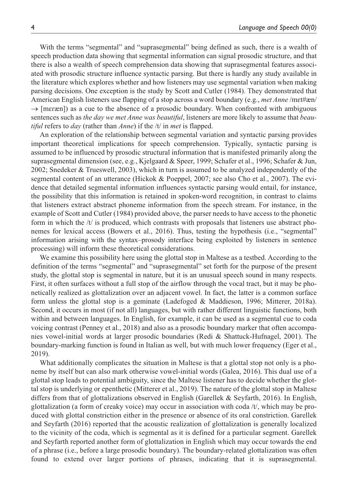With the terms "segmental" and "suprasegmental" being defined as such, there is a wealth of speech production data showing that segmental information can signal prosodic structure, and that there is also a wealth of speech comprehension data showing that suprasegmental features associated with prosodic structure influence syntactic parsing. But there is hardly any study available in the literature which explores whether and how listeners may use segmental variation when making parsing decisions. One exception is the study by Scott and Cutler (1984). They demonstrated that American English listeners use flapping of a stop across a word boundary (e.g., *met Anne* /mɛt#æn/  $\rightarrow$  [mɛræn]) as a cue to the absence of a prosodic boundary. When confronted with ambiguous sentences such as *the day we met Anne was beautiful*, listeners are more likely to assume that *beautiful* refers to *day* (rather than *Anne*) if the /t/ in *met* is flapped.

An exploration of the relationship between segmental variation and syntactic parsing provides important theoretical implications for speech comprehension. Typically, syntactic parsing is assumed to be influenced by prosodic structural information that is manifested primarily along the suprasegmental dimension (see, e.g., Kjelgaard & Speer, 1999; Schafer et al., 1996; Schafer & Jun, 2002; Snedeker & Trueswell, 2003), which in turn is assumed to be analyzed independently of the segmental content of an utterance (Hickok & Poeppel, 2007; see also Cho et al., 2007). The evidence that detailed segmental information influences syntactic parsing would entail, for instance, the possibility that this information is retained in spoken-word recognition, in contrast to claims that listeners extract abstract phoneme information from the speech stream. For instance, in the example of Scott and Cutler (1984) provided above, the parser needs to have access to the phonetic form in which the  $/t$  is produced, which contrasts with proposals that listeners use abstract phonemes for lexical access (Bowers et al., 2016). Thus, testing the hypothesis (i.e., "segmental" information arising with the syntax–prosody interface being exploited by listeners in sentence processing) will inform these theoretical considerations.

We examine this possibility here using the glottal stop in Maltese as a testbed. According to the definition of the terms "segmental" and "suprasegmental" set forth for the purpose of the present study, the glottal stop is segmental in nature, but it is an unusual speech sound in many respects. First, it often surfaces without a full stop of the airflow through the vocal tract, but it may be phonetically realized as glottalization over an adjacent vowel. In fact, the latter is a common surface form unless the glottal stop is a geminate (Ladefoged & Maddieson, 1996; Mitterer, 2018a). Second, it occurs in most (if not all) languages, but with rather different linguistic functions, both within and between languages. In English, for example, it can be used as a segmental cue to coda voicing contrast (Penney et al., 2018) and also as a prosodic boundary marker that often accompanies vowel-initial words at larger prosodic boundaries (Redi & Shattuck-Hufnagel, 2001). The boundary-marking function is found in Italian as well, but with much lower frequency (Eger et al., 2019).

What additionally complicates the situation in Maltese is that a glottal stop not only is a phoneme by itself but can also mark otherwise vowel-initial words (Galea, 2016). This dual use of a glottal stop leads to potential ambiguity, since the Maltese listener has to decide whether the glottal stop is underlying or epenthetic (Mitterer et al., 2019). The nature of the glottal stop in Maltese differs from that of glottalizations observed in English (Garellek & Seyfarth, 2016). In English, glottalization (a form of creaky voice) may occur in association with coda /t/, which may be produced with glottal constriction either in the presence or absence of its oral constriction. Garellek and Seyfarth (2016) reported that the acoustic realization of glottalization is generally localized to the vicinity of the coda, which is segmental as it is defined for a particular segment. Garellek and Seyfarth reported another form of glottalization in English which may occur towards the end of a phrase (i.e., before a large prosodic boundary). The boundary-related glottalization was often found to extend over larger portions of phrases, indicating that it is suprasegmental.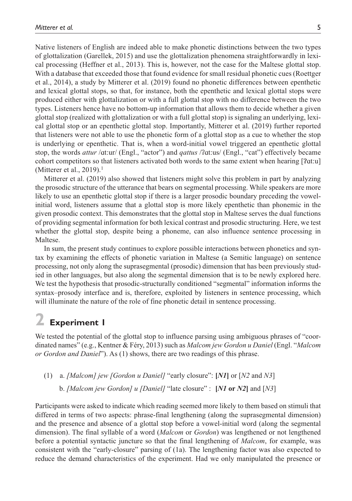Native listeners of English are indeed able to make phonetic distinctions between the two types of glottalization (Garellek, 2015) and use the glottalization phenomena straightforwardly in lexical processing (Heffner et al., 2013). This is, however, not the case for the Maltese glottal stop. With a database that exceeded those that found evidence for small residual phonetic cues (Roettger et al., 2014), a study by Mitterer et al. (2019) found no phonetic differences between epenthetic and lexical glottal stops, so that, for instance, both the epenthetic and lexical glottal stops were produced either with glottalization or with a full glottal stop with no difference between the two types. Listeners hence have no bottom-up information that allows them to decide whether a given glottal stop (realized with glottalization or with a full glottal stop) is signaling an underlying, lexical glottal stop or an epenthetic glottal stop. Importantly, Mitterer et al. (2019) further reported that listeners were not able to use the phonetic form of a glottal stop as a cue to whether the stop is underlying or epenthetic. That is, when a word-initial vowel triggered an epenthetic glottal stop, the words *attur* /ɑt:ur/ (Engl., "actor") and *qattus* /ʔɑt:us/ (Engl., "cat") effectively became cohort competitors so that listeners activated both words to the same extent when hearing [ʔɑtːu] (Mitterer et al., 2019).<sup>1</sup>

Mitterer et al. (2019) also showed that listeners might solve this problem in part by analyzing the prosodic structure of the utterance that bears on segmental processing. While speakers are more likely to use an epenthetic glottal stop if there is a larger prosodic boundary preceding the vowelinitial word, listeners assume that a glottal stop is more likely epenthetic than phonemic in the given prosodic context. This demonstrates that the glottal stop in Maltese serves the dual functions of providing segmental information for both lexical contrast and prosodic structuring. Here, we test whether the glottal stop, despite being a phoneme, can also influence sentence processing in Maltese.

In sum, the present study continues to explore possible interactions between phonetics and syntax by examining the effects of phonetic variation in Maltese (a Semitic language) on sentence processing, not only along the suprasegmental (prosodic) dimension that has been previously studied in other languages, but also along the segmental dimension that is to be newly explored here. We test the hypothesis that prosodic-structurally conditioned "segmental" information informs the syntax–prosody interface and is, therefore, exploited by listeners in sentence processing, which will illuminate the nature of the role of fine phonetic detail in sentence processing.

# **Experiment I**

We tested the potential of the glottal stop to influence parsing using ambiguous phrases of "coordinated names" (e.g., Kentner & Féry, 2013) such as *Malcom jew Gordon u Daniel* (Engl. "*Malcom or Gordon and Daniel*"). As (1) shows, there are two readings of this phrase.

(1) a. *[Malcom] jew [Gordon u Daniel]* "early closure": **[***N1***]** or [*N2* and *N3*] b. *[Malcom jew Gordon] u [Daniel]* "late closure" : **[***N1* **or** *N2***]** and [*N3*]

Participants were asked to indicate which reading seemed more likely to them based on stimuli that differed in terms of two aspects: phrase-final lengthening (along the suprasegmental dimension) and the presence and absence of a glottal stop before a vowel-initial word (along the segmental dimension). The final syllable of a word (*Malcom* or *Gordon*) was lengthened or not lengthened before a potential syntactic juncture so that the final lengthening of *Malcom*, for example, was consistent with the "early-closure" parsing of (1a). The lengthening factor was also expected to reduce the demand characteristics of the experiment. Had we only manipulated the presence or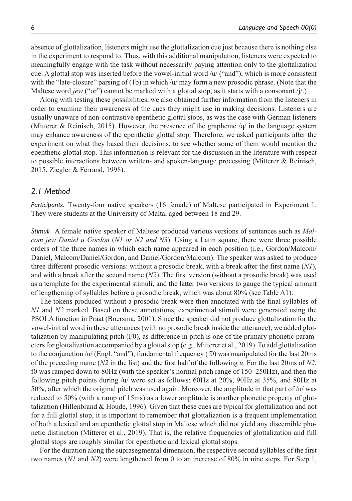absence of glottalization, listeners might use the glottalization cue just because there is nothing else in the experiment to respond to. Thus, with this additional manipulation, listeners were expected to meaningfully engage with the task without necessarily paying attention only to the glottalization cue. A glottal stop was inserted before the vowel-initial word /u/ ("and"), which is more consistent with the "late-closure" parsing of (1b) in which /u/ may form a new prosodic phrase. (Note that the Maltese word *jew* ("or") cannot be marked with a glottal stop, as it starts with a consonant /j/.)

Along with testing these possibilities, we also obtained further information from the listeners in order to examine their awareness of the cues they might use in making decisions. Listeners are usually unaware of non-contrastive epenthetic glottal stops, as was the case with German listeners (Mitterer & Reinisch, 2015). However, the presence of the grapheme  $\sqrt{q}$  in the language system may enhance awareness of the epenthetic glottal stop. Therefore, we asked participants after the experiment on what they based their decisions, to see whether some of them would mention the epenthetic glottal stop. This information is relevant for the discussion in the literature with respect to possible interactions between written- and spoken-language processing (Mitterer & Reinisch, 2015; Ziegler & Ferrand, 1998).

### *2.1 Method*

*Participants.* Twenty-four native speakers (16 female) of Maltese participated in Experiment 1. They were students at the University of Malta, aged between 18 and 29.

*Stimuli.* A female native speaker of Maltese produced various versions of sentences such as *Malcom jew Daniel u Gordon* (*N1 or N2 and N3*). Using a Latin square, there were three possible orders of the three names in which each name appeared in each position (i.e., Gordon/Malcom/ Daniel, Malcom/Daniel/Gordon, and Daniel/Gordon/Malcom). The speaker was asked to produce three different prosodic versions: without a prosodic break, with a break after the first name (*N1*), and with a break after the second name (*N2*). The first version (without a prosodic break) was used as a template for the experimental stimuli, and the latter two versions to gauge the typical amount of lengthening of syllables before a prosodic break, which was about 80% (see Table A1).

The tokens produced without a prosodic break were then annotated with the final syllables of *N1* and *N2* marked. Based on these annotations, experimental stimuli were generated using the PSOLA function in Praat (Boersma, 2001). Since the speaker did not produce glottalization for the vowel-initial word in these utterances (with no prosodic break inside the utterance), we added glottalization by manipulating pitch (F0), as difference in pitch is one of the primary phonetic parameters for glottalization accompanied by a glottal stop (e.g., Mitterer et al., 2019). To add glottalization to the conjunction  $/u$  (Engl. "and"), fundamental frequency (f0) was manipulated for the last 20ms of the preceding name (*N2* in the list) and the first half of the following *u*. For the last 20ms of *N2*, f0 was ramped down to 80Hz (with the speaker's normal pitch range of 150–250Hz), and then the following pitch points during /u/ were set as follows: 60Hz at 20%, 90Hz at 35%, and 80Hz at 50%, after which the original pitch was used again. Moreover, the amplitude in that part of /u/ was reduced to 50% (with a ramp of 15ms) as a lower amplitude is another phonetic property of glottalization (Hillenbrand & Houde, 1996). Given that these cues are typical for glottalization and not for a full glottal stop, it is important to remember that glottalization is a frequent implementation of both a lexical and an epenthetic glottal stop in Maltese which did not yield any discernible phonetic distinction (Mitterer et al., 2019). That is, the relative frequencies of glottalization and full glottal stops are roughly similar for epenthetic and lexical glottal stops.

For the duration along the suprasegmental dimension, the respective second syllables of the first two names (*N1* and *N2*) were lengthened from 0 to an increase of 80% in nine steps. For Step 1,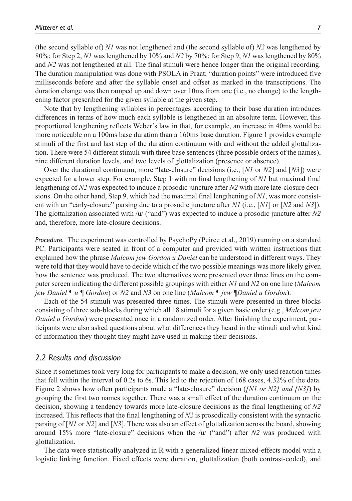(the second syllable of) *N1* was not lengthened and (the second syllable of) *N2* was lengthened by 80%; for Step 2, *N1* was lengthened by 10% and *N2* by 70%; for Step 9, *N1* was lengthened by 80% and *N2* was not lengthened at all. The final stimuli were hence longer than the original recording. The duration manipulation was done with PSOLA in Praat; "duration points" were introduced five milliseconds before and after the syllable onset and offset as marked in the transcriptions. The duration change was then ramped up and down over 10ms from one (i.e., no change) to the lengthening factor prescribed for the given syllable at the given step.

Note that by lengthening syllables in percentages according to their base duration introduces differences in terms of how much each syllable is lengthened in an absolute term. However, this proportional lengthening reflects Weber's law in that, for example, an increase in 40ms would be more noticeable on a 100ms base duration than a 160ms base duration. Figure 1 provides example stimuli of the first and last step of the duration continuum with and without the added glottalization. There were 54 different stimuli with three base sentences (three possible orders of the names), nine different duration levels, and two levels of glottalization (presence or absence).

Over the durational continuum, more "late-closure" decisions (i.e., [*N1* or *N2*] and [*N3*]) were expected for a lower step. For example, Step 1 with no final lengthening of *N1* but maximal final lengthening of *N2* was expected to induce a prosodic juncture after *N2* with more late-closure decisions. On the other hand, Step 9, which had the maximal final lengthening of *N1*, was more consistent with an "early-closure" parsing due to a prosodic juncture after *N1* (i.e., [*N1*] or [*N2* and *N3*]). The glottalization associated with /u/ ("and") was expected to induce a prosodic juncture after *N2* and, therefore, more late-closure decisions.

*Procedure.* The experiment was controlled by PsychoPy (Peirce et al., 2019) running on a standard PC. Participants were seated in front of a computer and provided with written instructions that explained how the phrase *Malcom jew Gordon u Daniel* can be understood in different ways. They were told that they would have to decide which of the two possible meanings was more likely given how the sentence was produced. The two alternatives were presented over three lines on the computer screen indicating the different possible groupings with either *N1* and *N2* on one line (*Malcom jew Daniel ¶ u ¶ Gordon*) or *N2* and *N3* on one line (*Malcom ¶ jew ¶Daniel u Gordon*).

Each of the 54 stimuli was presented three times. The stimuli were presented in three blocks consisting of three sub-blocks during which all 18 stimuli for a given basic order (e.g., *Malcom jew Daniel u Gordon*) were presented once in a randomized order. After finishing the experiment, participants were also asked questions about what differences they heard in the stimuli and what kind of information they thought they might have used in making their decisions.

### *2.2 Results and discussion*

Since it sometimes took very long for participants to make a decision, we only used reaction times that fell within the interval of 0.2s to 6s. This led to the rejection of 168 cases, 4.32% of the data. Figure 2 shows how often participants made a "late-closure" decision (*[N1 or N2] and [N3]*) by grouping the first two names together. There was a small effect of the duration continuum on the decision, showing a tendency towards more late-closure decisions as the final lengthening of *N2* increased. This reflects that the final lengthening of *N2* is prosodically consistent with the syntactic parsing of [*N1* or *N2*] and [*N3*]. There was also an effect of glottalization across the board, showing around 15% more "late-closure" decisions when the /u/ ("and") after *N2* was produced with glottalization.

The data were statistically analyzed in R with a generalized linear mixed-effects model with a logistic linking function. Fixed effects were duration, glottalization (both contrast-coded), and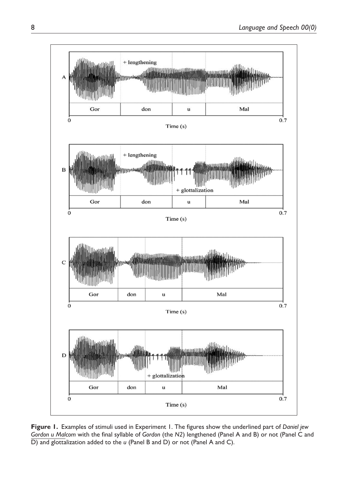

**Figure 1.** Examples of stimuli used in Experiment 1. The figures show the underlined part of *Daniel jew Gordon u Malcom* with the final syllable of *Gordon* (the *N2*) lengthened (Panel A and B) or not (Panel C and D) and glottalization added to the *u* (Panel B and D) or not (Panel A and C).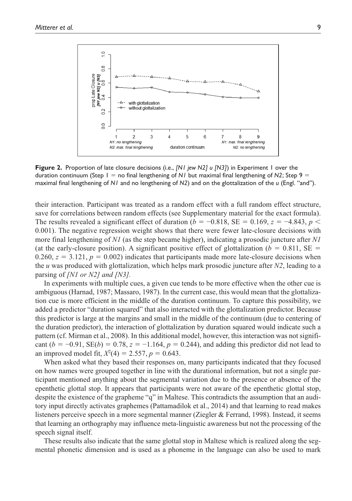

**Figure 2.** Proportion of late closure decisions (i.e., *[N1 jew N2] u [N3]*) in Experiment 1 over the duration continuum (Step 1 = no final lengthening of *N1* but maximal final lengthening of *N2*; Step 9 = maximal final lengthening of *N1* and no lengthening of *N2*) and on the glottalization of the *u* (Engl. "and").

their interaction. Participant was treated as a random effect with a full random effect structure, save for correlations between random effects (see Supplementary material for the exact formula). The results revealed a significant effect of duration ( $b = -0.818$ , SE = 0.169,  $z = -4.843$ ,  $p <$ 0.001). The negative regression weight shows that there were fewer late-closure decisions with more final lengthening of *N1* (as the step became higher), indicating a prosodic juncture after *N1* (at the early-closure position). A significant positive effect of glottalization ( $b = 0.811$ , SE =  $0.260$ ,  $z = 3.121$ ,  $p = 0.002$ ) indicates that participants made more late-closure decisions when the *u* was produced with glottalization, which helps mark prosodic juncture after *N2*, leading to a parsing of *[N1 or N2] and [N3].*

In experiments with multiple cues, a given cue tends to be more effective when the other cue is ambiguous (Harnad, 1987; Massaro, 1987). In the current case, this would mean that the glottalization cue is more efficient in the middle of the duration continuum. To capture this possibility, we added a predictor "duration squared" that also interacted with the glottalization predictor. Because this predictor is large at the margins and small in the middle of the continuum (due to centering of the duration predictor), the interaction of glottalization by duration squared would indicate such a pattern (cf. Mirman et al., 2008). In this additional model, however, this interaction was not significant  $(b = -0.91, \text{SE}(b) = 0.78, z = -1.164, p = 0.244$ ), and adding this predictor did not lead to an improved model fit,  $X^2(4) = 2.557$ ,  $p = 0.643$ .

When asked what they based their responses on, many participants indicated that they focused on how names were grouped together in line with the durational information, but not a single participant mentioned anything about the segmental variation due to the presence or absence of the epenthetic glottal stop. It appears that participants were not aware of the epenthetic glottal stop, despite the existence of the grapheme "q" in Maltese. This contradicts the assumption that an auditory input directly activates graphemes (Pattamadilok et al., 2014) and that learning to read makes listeners perceive speech in a more segmental manner (Ziegler & Ferrand, 1998). Instead, it seems that learning an orthography may influence meta-linguistic awareness but not the processing of the speech signal itself.

These results also indicate that the same glottal stop in Maltese which is realized along the segmental phonetic dimension and is used as a phoneme in the language can also be used to mark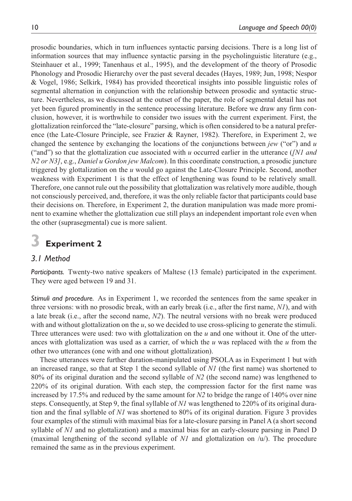prosodic boundaries, which in turn influences syntactic parsing decisions. There is a long list of information sources that may influence syntactic parsing in the psycholinguistic literature (e.g., Steinhauer et al., 1999; Tanenhaus et al., 1995), and the development of the theory of Prosodic Phonology and Prosodic Hierarchy over the past several decades (Hayes, 1989; Jun, 1998; Nespor & Vogel, 1986; Selkirk, 1984) has provided theoretical insights into possible linguistic roles of segmental alternation in conjunction with the relationship between prosodic and syntactic structure. Nevertheless, as we discussed at the outset of the paper, the role of segmental detail has not yet been figured prominently in the sentence processing literature. Before we draw any firm conclusion, however, it is worthwhile to consider two issues with the current experiment. First, the glottalization reinforced the "late-closure" parsing, which is often considered to be a natural preference (the Late-Closure Principle, see Frazier & Rayner, 1982). Therefore, in Experiment 2, we changed the sentence by exchanging the locations of the conjunctions between *jew* ("or") and *u* ("and") so that the glottalization cue associated with *u* occurred earlier in the utterance (*[N1 and N2 or N3]*, e.g., *Daniel u Gordon jew Malcom*). In this coordinate construction, a prosodic juncture triggered by glottalization on the *u* would go against the Late-Closure Principle. Second, another weakness with Experiment 1 is that the effect of lengthening was found to be relatively small. Therefore, one cannot rule out the possibility that glottalization was relatively more audible, though not consciously perceived, and, therefore, it was the only reliable factor that participants could base their decisions on. Therefore, in Experiment 2, the duration manipulation was made more prominent to examine whether the glottalization cue still plays an independent important role even when the other (suprasegmental) cue is more salient.

# **3 Experiment 2**

## *3.1 Method*

*Participants.* Twenty-two native speakers of Maltese (13 female) participated in the experiment. They were aged between 19 and 31.

*Stimuli and procedure.* As in Experiment 1, we recorded the sentences from the same speaker in three versions: with no prosodic break, with an early break (i.e., after the first name, *N1*), and with a late break (i.e., after the second name, *N2*). The neutral versions with no break were produced with and without glottalization on the *u*, so we decided to use cross-splicing to generate the stimuli. Three utterances were used: two with glottalization on the *u* and one without it. One of the utterances with glottalization was used as a carrier, of which the *u* was replaced with the *u* from the other two utterances (one with and one without glottalization).

These utterances were further duration-manipulated using PSOLA as in Experiment 1 but with an increased range, so that at Step 1 the second syllable of *N1* (the first name) was shortened to 80% of its original duration and the second syllable of *N2* (the second name) was lengthened to 220% of its original duration. With each step, the compression factor for the first name was increased by 17.5% and reduced by the same amount for *N2* to bridge the range of 140% over nine steps. Consequently, at Step 9, the final syllable of *N1* was lengthened to 220% of its original duration and the final syllable of *N1* was shortened to 80% of its original duration. Figure 3 provides four examples of the stimuli with maximal bias for a late-closure parsing in Panel A (a short second syllable of *N1* and no glottalization) and a maximal bias for an early-closure parsing in Panel D (maximal lengthening of the second syllable of  $NI$  and glottalization on  $\langle u \rangle$ ). The procedure remained the same as in the previous experiment.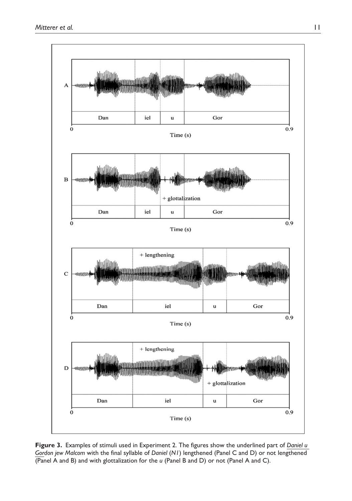

**Figure 3.** Examples of stimuli used in Experiment 2. The figures show the underlined part of *Daniel u Gordon jew Malcom* with the final syllable of *Daniel* (*N1*) lengthened (Panel C and D) or not lengthened (Panel A and B) and with glottalization for the *u* (Panel B and D) or not (Panel A and C).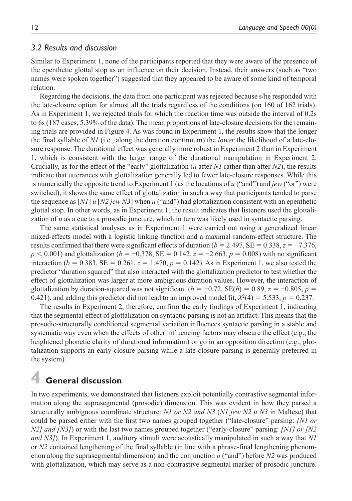### *3.2 Results and discussion*

Similar to Experiment 1, none of the participants reported that they were aware of the presence of the epenthetic glottal stop as an influence on their decision. Instead, their answers (such as "two names were spoken together") suggested that they appeared to be aware of some kind of temporal relation.

Regarding the decisions, the data from one participant was rejected because s/he responded with the late-closure option for almost all the trials regardless of the conditions (on 160 of 162 trials). As in Experiment 1, we rejected trials for which the reaction time was outside the interval of 0.2s to 6s (187 cases, 5.39% of the data). The mean proportions of late-closure decisions for the remaining trials are provided in Figure 4. As was found in Experiment 1, the results show that the longer the final syllable of *N1* (i.e., along the duration continuum) the *lower* the likelihood of a late-closure response. The durational effect was generally more robust in Experiment 2 than in Experiment 1, which is consistent with the larger range of the durational manipulation in Experiment 2. Crucially, as for the effect of the "early" glottalization ( $u$  after  $NI$  rather than after  $N2$ ), the results indicate that utterances with glottalization generally led to fewer late-closure responses. While this is numerically the opposite trend to Experiment 1 (as the locations of *u* ("and") and *jew* ("or") were switched), it shows the same effect of glottalization in such a way that participants tended to parse the sequence as [*N1*] *u* [*N2 jew N3*] when *u* ("and") had glottalization consistent with an epenthetic glottal stop. In other words, as in Experiment 1, the result indicates that listeners used the glottalization of *u* as a cue to a prosodic juncture, which in turn was likely used in syntactic parsing.

The same statistical analyses as in Experiment 1 were carried out using a generalized linear mixed-effects model with a logistic linking function and a maximal random-effect structure. The results confirmed that there were significant effects of duration ( $b = 2.497$ , SE = 0.338,  $z = -7.376$ , *p* < 0.001) and glottalization (*b* = −0.378, SE = 0.142, *z* = −2.663, *p* = 0.008) with no significant interaction ( $b = 0.383$ ,  $SE = 0.261$ ,  $z = 1.470$ ,  $p = 0.142$ ). As in Experiment 1, we also tested the predictor "duration squared" that also interacted with the glottalization predictor to test whether the effect of glottalization was larger at more ambiguous duration values. However, the interaction of glottalization by duration-squared was not significant  $(b = -0.72, SE(b) = 0.89, z = -0.805, p = 0.89, z = 0.805, z = 0.805, z = 0.805, z = 0.805, z = 0.805, z = 0.805, z = 0.805, z = 0.805, z = 0.805, z = 0.805, z = 0.805, z = 0.805, z = 0.805, z = 0.805, z = 0$ 0.421), and adding this predictor did not lead to an improved model fit,  $X^2(4) = 5.533$ ,  $p = 0.237$ .

The results in Experiment 2, therefore, confirm the early findings of Experiment 1, indicating that the segmental effect of glottalization on syntactic parsing is not an artifact. This means that the prosodic-structurally conditioned segmental variation influences syntactic parsing in a stable and systematic way even when the effects of other influencing factors may obscure the effect (e.g., the heightened phonetic clarity of durational information) or go in an opposition direction (e.g., glottalization supports an early-closure parsing while a late-closure parsing is generally preferred in the system).

# **4 General discussion**

In two experiments, we demonstrated that listeners exploit potentially contrastive segmental information along the suprasegmental (prosodic) dimension. This was evident in how they parsed a structurally ambiguous coordinate structure: *N1 or N2 and N3* (*N1 jew N2 u N3* in Maltese) that could be parsed either with the first two names grouped together ("late-closure" parsing: *[N1 or N2] and [N3]*) or with the last two names grouped together ("early-closure" parsing: *[N1] or [N2 and N3]*). In Experiment 1, auditory stimuli were acoustically manipulated in such a way that *N1* or *N2* contained lengthening of the final syllable (in line with a phrase-final lengthening phenomenon along the suprasegmental dimension) and the conjunction *u* ("and") before *N2* was produced with glottalization, which may serve as a non-contrastive segmental marker of prosodic juncture.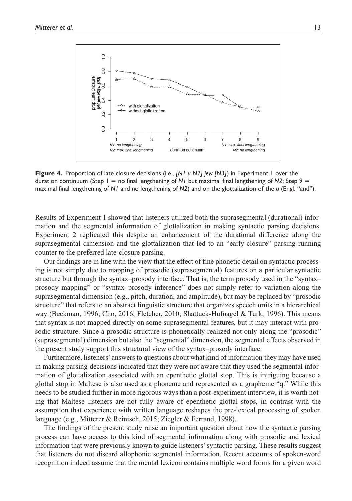

**Figure 4.** Proportion of late closure decisions (i.e., *[N1 u N2] jew [N3]*) in Experiment 1 over the duration continuum (Step  $1 =$  no final lengthening of *N1* but maximal final lengthening of *N2*; Step 9 = maximal final lengthening of *N1* and no lengthening of *N2*) and on the glottalization of the *u* (Engl. "and").

Results of Experiment 1 showed that listeners utilized both the suprasegmental (durational) information and the segmental information of glottalization in making syntactic parsing decisions. Experiment 2 replicated this despite an enhancement of the durational difference along the suprasegmental dimension and the glottalization that led to an "early-closure" parsing running counter to the preferred late-closure parsing.

Our findings are in line with the view that the effect of fine phonetic detail on syntactic processing is not simply due to mapping of prosodic (suprasegmental) features on a particular syntactic structure but through the syntax–prosody interface. That is, the term prosody used in the "syntax– prosody mapping" or "syntax–prosody inference" does not simply refer to variation along the suprasegmental dimension (e.g., pitch, duration, and amplitude), but may be replaced by "prosodic structure" that refers to an abstract linguistic structure that organizes speech units in a hierarchical way (Beckman, 1996; Cho, 2016; Fletcher, 2010; Shattuck-Hufnagel & Turk, 1996). This means that syntax is not mapped directly on some suprasegmental features, but it may interact with prosodic structure. Since a prosodic structure is phonetically realized not only along the "prosodic" (suprasegmental) dimension but also the "segmental" dimension, the segmental effects observed in the present study support this structural view of the syntax–prosody interface.

Furthermore, listeners' answers to questions about what kind of information they may have used in making parsing decisions indicated that they were not aware that they used the segmental information of glottalization associated with an epenthetic glottal stop. This is intriguing because a glottal stop in Maltese is also used as a phoneme and represented as a grapheme "q." While this needs to be studied further in more rigorous ways than a post-experiment interview, it is worth noting that Maltese listeners are not fully aware of epenthetic glottal stops, in contrast with the assumption that experience with written language reshapes the pre-lexical processing of spoken language (e.g., Mitterer & Reinisch, 2015; Ziegler & Ferrand, 1998).

The findings of the present study raise an important question about how the syntactic parsing process can have access to this kind of segmental information along with prosodic and lexical information that were previously known to guide listeners' syntactic parsing. These results suggest that listeners do not discard allophonic segmental information. Recent accounts of spoken-word recognition indeed assume that the mental lexicon contains multiple word forms for a given word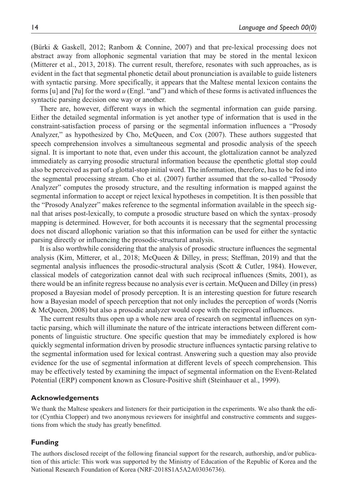(Bürki & Gaskell, 2012; Ranbom & Connine, 2007) and that pre-lexical processing does not abstract away from allophonic segmental variation that may be stored in the mental lexicon (Mitterer et al., 2013, 2018). The current result, therefore, resonates with such approaches, as is evident in the fact that segmental phonetic detail about pronunciation is available to guide listeners with syntactic parsing. More specifically, it appears that the Maltese mental lexicon contains the forms [u] and [Ɂu] for the word *u* (Engl. "and") and which of these forms is activated influences the syntactic parsing decision one way or another.

There are, however, different ways in which the segmental information can guide parsing. Either the detailed segmental information is yet another type of information that is used in the constraint-satisfaction process of parsing or the segmental information influences a "Prosody Analyzer," as hypothesized by Cho, McQueen, and Cox (2007). These authors suggested that speech comprehension involves a simultaneous segmental and prosodic analysis of the speech signal. It is important to note that, even under this account, the glottalization cannot be analyzed immediately as carrying prosodic structural information because the epenthetic glottal stop could also be perceived as part of a glottal-stop initial word. The information, therefore, has to be fed into the segmental processing stream. Cho et al. (2007) further assumed that the so-called "Prosody Analyzer" computes the prosody structure, and the resulting information is mapped against the segmental information to accept or reject lexical hypotheses in competition. It is then possible that the "Prosody Analyzer" makes reference to the segmental information available in the speech signal that arises post-lexically, to compute a prosodic structure based on which the syntax–prosody mapping is determined. However, for both accounts it is necessary that the segmental processing does not discard allophonic variation so that this information can be used for either the syntactic parsing directly or influencing the prosodic-structural analysis.

It is also worthwhile considering that the analysis of prosodic structure influences the segmental analysis (Kim, Mitterer, et al., 2018; McQueen & Dilley, in press; Steffman, 2019) and that the segmental analysis influences the prosodic-structural analysis (Scott & Cutler, 1984). However, classical models of categorization cannot deal with such reciprocal influences (Smits, 2001), as there would be an infinite regress because no analysis ever is certain. McQueen and Dilley (in press) proposed a Bayesian model of prosody perception. It is an interesting question for future research how a Bayesian model of speech perception that not only includes the perception of words (Norris & McQueen, 2008) but also a prosodic analyzer would cope with the reciprocal influences.

The current results thus open up a whole new area of research on segmental influences on syntactic parsing, which will illuminate the nature of the intricate interactions between different components of linguistic structure. One specific question that may be immediately explored is how quickly segmental information driven by prosodic structure influences syntactic parsing relative to the segmental information used for lexical contrast. Answering such a question may also provide evidence for the use of segmental information at different levels of speech comprehension. This may be effectively tested by examining the impact of segmental information on the Event-Related Potential (ERP) component known as Closure-Positive shift (Steinhauer et al., 1999).

#### **Acknowledgements**

We thank the Maltese speakers and listeners for their participation in the experiments. We also thank the editor (Cynthia Clopper) and two anonymous reviewers for insightful and constructive comments and suggestions from which the study has greatly benefitted.

#### **Funding**

The authors disclosed receipt of the following financial support for the research, authorship, and/or publication of this article: This work was supported by the Ministry of Education of the Republic of Korea and the National Research Foundation of Korea (NRF-2018S1A5A2A03036736).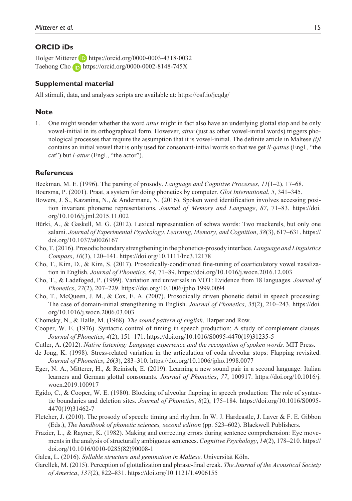## **ORCID iDs**

Holger Mitterer **D** <https://orcid.org/0000-0003-4318-0032> Taehong Cho <https://orcid.org/0000-0002-8148-745X>

#### **Supplemental material**

All stimuli, data, and analyses scripts are available at: <https://osf.io/jeqdg/>

#### **Note**

1. One might wonder whether the word *attur* might in fact also have an underlying glottal stop and be only vowel-initial in its orthographical form. However, *attur* (just as other vowel-initial words) triggers phonological processes that require the assumption that it is vowel-initial. The definite article in Maltese *(i)l* contains an initial vowel that is only used for consonant-initial words so that we get *il-qattus* (Engl., "the cat") but *l-attur* (Engl., "the actor").

#### **References**

Beckman, M. E. (1996). The parsing of prosody. *Language and Cognitive Processes*, *11*(1–2), 17–68.

- Boersma, P. (2001). Praat, a system for doing phonetics by computer. *Glot International*, *5*, 341–345.
- Bowers, J. S., Kazanina, N., & Andermane, N. (2016). Spoken word identification involves accessing position invariant phoneme representations. *Journal of Memory and Language*, *87*, 71–83. [https://doi.](https://doi.org/10.1016/j.jml.2015.11.002) [org/10.1016/j.jml.2015.11.002](https://doi.org/10.1016/j.jml.2015.11.002)
- Bürki, A., & Gaskell, M. G. (2012). Lexical representation of schwa words: Two mackerels, but only one salami. *Journal of Experimental Psychology. Learning, Memory, and Cognition*, *38*(3), 617–631. [https://](https://doi.org/10.1037/a0026167) [doi.org/10.1037/a0026167](https://doi.org/10.1037/a0026167)
- Cho, T. (2016). Prosodic boundary strengthening in the phonetics-prosody interface. *Language and Linguistics Compass*, *10*(3), 120–141. <https://doi.org/10.1111/lnc3.12178>
- Cho, T., Kim, D., & Kim, S. (2017). Prosodically-conditioned fine-tuning of coarticulatory vowel nasalization in English. *Journal of Phonetics*, *64*, 71–89. <https://doi.org/10.1016/j.wocn.2016.12.003>
- Cho, T., & Ladefoged, P. (1999). Variation and universals in VOT: Evidence from 18 languages. *Journal of Phonetics*, *27*(2), 207–229.<https://doi.org/10.1006/jpho.1999.0094>
- Cho, T., McQueen, J. M., & Cox, E. A. (2007). Prosodically driven phonetic detail in speech processing: The case of domain-initial strengthening in English. *Journal of Phonetics*, *35*(2), 210–243. [https://doi.](https://doi.org/10.1016/j.wocn.2006.03.003) [org/10.1016/j.wocn.2006.03.003](https://doi.org/10.1016/j.wocn.2006.03.003)
- Chomsky, N., & Halle, M. (1968). *The sound pattern of english*. Harper and Row.
- Cooper, W. E. (1976). Syntactic control of timing in speech production: A study of complement clauses. *Journal of Phonetics*, *4*(2), 151–171. [https://doi.org/10.1016/S0095-4470\(19\)31235-5](https://doi.org/10.1016/S0095-4470(19)31235-5)
- Cutler, A. (2012). *Native listening: Language experience and the recognition of spoken words*. MIT Press.
- de Jong, K. (1998). Stress-related variation in the articulation of coda alveolar stops: Flapping revisited. *Journal of Phonetics*, *26*(3), 283–310. <https://doi.org/10.1006/jpho.1998.0077>
- Eger, N. A., Mitterer, H., & Reinisch, E. (2019). Learning a new sound pair in a second language: Italian learners and German glottal consonants. *Journal of Phonetics*, *77*, 100917. [https://doi.org/10.1016/j.](https://doi.org/10.1016/j.wocn.2019.100917) [wocn.2019.100917](https://doi.org/10.1016/j.wocn.2019.100917)
- Egido, C., & Cooper, W. E. (1980). Blocking of alveolar flapping in speech production: The role of syntactic boundaries and deletion sites. *Journal of Phonetics*, *8*(2), 175–184. [https://doi.org/10.1016/S0095-](https://doi.org/10.1016/S0095-4470(19)31462-7) [4470\(19\)31462-7](https://doi.org/10.1016/S0095-4470(19)31462-7)
- Fletcher, J. (2010). The prosody of speech: timing and rhythm. In W. J. Hardcastle, J. Laver & F. E. Gibbon (Eds.), *The handbook of phonetic sciences, second edition* (pp. 523–602). Blackwell Publishers.
- Frazier, L., & Rayner, K. (1982). Making and correcting errors during sentence comprehension: Eye movements in the analysis of structurally ambiguous sentences. *Cognitive Psychology*, *14*(2), 178–210. [https://](https://doi.org/10.1016/0010-0285(82)90008-1) [doi.org/10.1016/0010-0285\(82\)90008-1](https://doi.org/10.1016/0010-0285(82)90008-1)
- Galea, L. (2016). *Syllable structure and gemination in Maltese*. Universität Köln.
- Garellek, M. (2015). Perception of glottalization and phrase-final creak. *The Journal of the Acoustical Society of America*, *137*(2), 822–831. <https://doi.org/10.1121/1.4906155>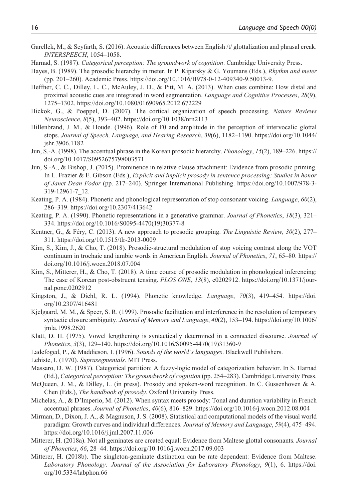- Garellek, M., & Seyfarth, S. (2016). Acoustic differences between English /t/ glottalization and phrasal creak. *INTERSPEECH*, 1054–1058.
- Harnad, S. (1987). *Categorical perception: The groundwork of cognition*. Cambridge University Press.
- Hayes, B. (1989). The prosodic hierarchy in meter. In P. Kiparsky & G. Youmans (Eds.), *Rhythm and meter* (pp. 201–260). Academic Press.<https://doi.org/10.1016/B978-0-12-409340-9.50013-9>.
- Heffner, C. C., Dilley, L. C., McAuley, J. D., & Pitt, M. A. (2013). When cues combine: How distal and proximal acoustic cues are integrated in word segmentation. *Language and Cognitive Processes*, *28*(9), 1275–1302. <https://doi.org/10.1080/01690965.2012.672229>
- Hickok, G., & Poeppel, D. (2007). The cortical organization of speech processing. *Nature Reviews Neuroscience*, *8*(5), 393–402. <https://doi.org/10.1038/nrn2113>
- Hillenbrand, J. M., & Houde. (1996). Role of F0 and amplitude in the perception of intervocalic glottal stops. *Journal of Speech, Language, and Hearing Research*, *39*(6), 1182–1190. [https://doi.org/10.1044/](https://doi.org/10.1044/jshr.3906.1182) [jshr.3906.1182](https://doi.org/10.1044/jshr.3906.1182)
- Jun, S.-A. (1998). The accentual phrase in the Korean prosodic hierarchy. *Phonology*, *15*(2), 189–226. [https://](https://doi.org/10.1017/S0952675798003571) [doi.org/10.1017/S0952675798003571](https://doi.org/10.1017/S0952675798003571)
- Jun, S.-A., & Bishop, J. (2015). Prominence in relative clause attachment: Evidence from prosodic priming. In L. Frazier & E. Gibson (Eds.), *Explicit and implicit prosody in sentence processing: Studies in honor of Janet Dean Fodor* (pp. 217–240). Springer International Publishing. [https://doi.org/10.1007/978-3-](https://doi.org/10.1007/978-3-319-12961-7_12) [319-12961-7\\_12.](https://doi.org/10.1007/978-3-319-12961-7_12)
- Keating, P. A. (1984). Phonetic and phonological representation of stop consonant voicing. *Language*, *60*(2), 286–319. <https://doi.org/10.2307/413642>
- Keating, P. A. (1990). Phonetic representations in a generative grammar. *Journal of Phonetics*, *18*(3), 321– 334. [https://doi.org/10.1016/S0095-4470\(19\)30377-8](https://doi.org/10.1016/S0095-4470(19)30377-8)
- Kentner, G., & Féry, C. (2013). A new approach to prosodic grouping. *The Linguistic Review*, *30*(2), 277– 311. <https://doi.org/10.1515/tlr-2013-0009>
- Kim, S., Kim, J., & Cho, T. (2018). Prosodic-structural modulation of stop voicing contrast along the VOT continuum in trochaic and iambic words in American English. *Journal of Phonetics*, *71*, 65–80. [https://](https://doi.org/10.1016/j.wocn.2018.07.004) [doi.org/10.1016/j.wocn.2018.07.004](https://doi.org/10.1016/j.wocn.2018.07.004)
- Kim, S., Mitterer, H., & Cho, T. (2018). A time course of prosodic modulation in phonological inferencing: The case of Korean post-obstruent tensing. *PLOS ONE*, *13*(8), e0202912. [https://doi.org/10.1371/jour](https://doi.org/10.1371/journal.pone.0202912)[nal.pone.0202912](https://doi.org/10.1371/journal.pone.0202912)
- Kingston, J., & Diehl, R. L. (1994). Phonetic knowledge. *Language*, *70*(3), 419–454. [https://doi.](https://doi.org/10.2307/416481) [org/10.2307/416481](https://doi.org/10.2307/416481)
- Kjelgaard, M. M., & Speer, S. R. (1999). Prosodic facilitation and interference in the resolution of temporary syntactic closure ambiguity. *Journal of Memory and Language*, *40*(2), 153–194. [https://doi.org/10.1006/](https://doi.org/10.1006/jmla.1998.2620) [jmla.1998.2620](https://doi.org/10.1006/jmla.1998.2620)
- Klatt, D. H. (1975). Vowel lengthening is syntactically determined in a connected discourse. *Journal of Phonetics*, *3*(3), 129–140. [https://doi.org/10.1016/S0095-4470\(19\)31360-9](https://doi.org/10.1016/S0095-4470(19)31360-9)
- Ladefoged, P., & Maddieson, I. (1996). *Sounds of the world's languages*. Blackwell Publishers.
- Lehiste, I. (1970). *Suprasegmentals*. MIT Press.
- Massaro, D. W. (1987). Categorical partition: A fuzzy-logic model of categorization behavior. In S. Harnad (Ed.), *Categorical perception: The groundwork of cognition* (pp. 254–283). Cambridge University Press.
- McQueen, J. M., & Dilley, L. (in press). Prosody and spoken-word recognition. In C. Gussenhoven & A. Chen (Eds.), *The handbook of prosody*. Oxford University Press.
- Michelas, A., & D'Imperio, M. (2012). When syntax meets prosody: Tonal and duration variability in French accentual phrases. *Journal of Phonetics*, *40*(6), 816–829. <https://doi.org/10.1016/j.wocn.2012.08.004>
- Mirman, D., Dixon, J. A., & Magnuson, J. S. (2008). Statistical and computational models of the visual world paradigm: Growth curves and individual differences. *Journal of Memory and Language*, *59*(4), 475–494. <https://doi.org/10.1016/j.jml.2007.11.006>
- Mitterer, H. (2018a). Not all geminates are created equal: Evidence from Maltese glottal consonants. *Journal of Phonetics*, *66*, 28–44.<https://doi.org/10.1016/j.wocn.2017.09.003>
- Mitterer, H. (2018b). The singleton-geminate distinction can be rate dependent: Evidence from Maltese. *Laboratory Phonology: Journal of the Association for Laboratory Phonology*, *9*(1), 6. [https://doi.](https://doi.org/10.5334/labphon.66) [org/10.5334/labphon.66](https://doi.org/10.5334/labphon.66)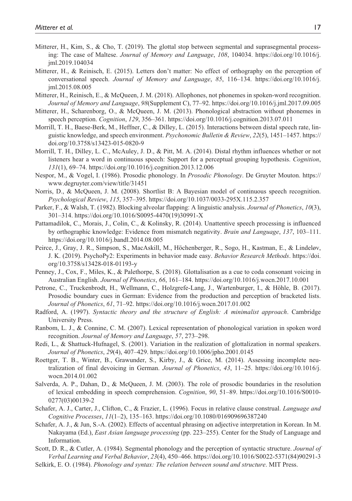- Mitterer, H., Kim, S., & Cho, T. (2019). The glottal stop between segmental and suprasegmental processing: The case of Maltese. *Journal of Memory and Language*, *108*, 104034. [https://doi.org/10.1016/j.](https://doi.org/10.1016/j.jml.2019.104034) [jml.2019.104034](https://doi.org/10.1016/j.jml.2019.104034)
- Mitterer, H., & Reinisch, E. (2015). Letters don't matter: No effect of orthography on the perception of conversational speech. *Journal of Memory and Language*, *85*, 116–134. [https://doi.org/10.1016/j.](https://doi.org/10.1016/j.jml.2015.08.005) [jml.2015.08.005](https://doi.org/10.1016/j.jml.2015.08.005)
- Mitterer, H., Reinisch, E., & McQueen, J. M. (2018). Allophones, not phonemes in spoken-word recognition. *Journal of Memory and Language*, *98*(Supplement C), 77–92.<https://doi.org/10.1016/j.jml.2017.09.005>
- Mitterer, H., Scharenborg, O., & McQueen, J. M. (2013). Phonological abstraction without phonemes in speech perception. *Cognition*, *129*, 356–361. <https://doi.org/10.1016/j.cognition.2013.07.011>
- Morrill, T. H., Baese-Berk, M., Heffner, C., & Dilley, L. (2015). Interactions between distal speech rate, linguistic knowledge, and speech environment. *Psychonomic Bulletin & Review*, *22*(5), 1451–1457. [https://](https://doi.org/10.3758/s13423-015-0820-9) [doi.org/10.3758/s13423-015-0820-9](https://doi.org/10.3758/s13423-015-0820-9)
- Morrill, T. H., Dilley, L. C., McAuley, J. D., & Pitt, M. A. (2014). Distal rhythm influences whether or not listeners hear a word in continuous speech: Support for a perceptual grouping hypothesis. *Cognition*, *131*(1), 69–74. <https://doi.org/10.1016/j.cognition.2013.12.006>
- Nespor, M., & Vogel, I. (1986). Prosodic phonology. In *Prosodic Phonology*. De Gruyter Mouton. [https://](https://www.degruyter.com/view/title/31451) [www.degruyter.com/view/title/31451](https://www.degruyter.com/view/title/31451)
- Norris, D., & McQueen, J. M. (2008). Shortlist B: A Bayesian model of continuous speech recognition. *Psychological Review*, *115*, 357–395. <https://doi.org/10.1037/0033-295X.115.2.357>
- Parker, F., & Walsh, T. (1982). Blocking alveolar flapping: A linguistic analysis. *Journal of Phonetics*, *10*(3), 301–314. [https://doi.org/10.1016/S0095-4470\(19\)30991-X](https://doi.org/10.1016/S0095-4470(19)30991-X)
- Pattamadilok, C., Morais, J., Colin, C., & Kolinsky, R. (2014). Unattentive speech processing is influenced by orthographic knowledge: Evidence from mismatch negativity. *Brain and Language*, *137*, 103–111. <https://doi.org/10.1016/j.bandl.2014.08.005>
- Peirce, J., Gray, J. R., Simpson, S., MacAskill, M., Höchenberger, R., Sogo, H., Kastman, E., & Lindeløv, J. K. (2019). PsychoPy2: Experiments in behavior made easy. *Behavior Research Methods*. [https://doi.](https://doi.org/10.3758/s13428-018-01193-y) [org/10.3758/s13428-018-01193-y](https://doi.org/10.3758/s13428-018-01193-y)
- Penney, J., Cox, F., Miles, K., & Palethorpe, S. (2018). Glottalisation as a cue to coda consonant voicing in Australian English. *Journal of Phonetics*, *66*, 161–184. <https://doi.org/10.1016/j.wocn.2017.10.001>
- Petrone, C., Truckenbrodt, H., Wellmann, C., Holzgrefe-Lang, J., Wartenburger, I., & Höhle, B. (2017). Prosodic boundary cues in German: Evidence from the production and perception of bracketed lists. *Journal of Phonetics*, *61*, 71–92.<https://doi.org/10.1016/j.wocn.2017.01.002>
- Radford, A. (1997). *Syntactic theory and the structure of English: A minimalist approach*. Cambridge University Press.
- Ranbom, L. J., & Connine, C. M. (2007). Lexical representation of phonological variation in spoken word recognition. *Journal of Memory and Language*, *57*, 273–298.
- Redi, L., & Shattuck-Hufnagel, S. (2001). Variation in the realization of glottalization in normal speakers. *Journal of Phonetics*, *29*(4), 407–429. <https://doi.org/10.1006/jpho.2001.0145>
- Roettger, T. B., Winter, B., Grawunder, S., Kirby, J., & Grice, M. (2014). Assessing incomplete neutralization of final devoicing in German. *Journal of Phonetics*, *43*, 11–25. [https://doi.org/10.1016/j.](https://doi.org/10.1016/j.wocn.2014.01.002) [wocn.2014.01.002](https://doi.org/10.1016/j.wocn.2014.01.002)
- Salverda, A. P., Dahan, D., & McQueen, J. M. (2003). The role of prosodic boundaries in the resolution of lexical embedding in speech comprehension. *Cognition*, *90*, 51–89. [https://doi.org/10.1016/S0010-](https://doi.org/10.1016/S0010-0277(03)00139-2) [0277\(03\)00139-2](https://doi.org/10.1016/S0010-0277(03)00139-2)
- Schafer, A. J., Carter, J., Clifton, C., & Frazier, L. (1996). Focus in relative clause construal. *Language and Cognitive Processes*, *11*(1–2), 135–163. <https://doi.org/10.1080/016909696387240>
- Schafer, A. J., & Jun, S.-A. (2002). Effects of accentual phrasing on adjective interpretation in Korean. In M. Nakayama (Ed.), *East Asian language processing* (pp. 223–255). Center for the Study of Language and Information.
- Scott, D. R., & Cutler, A. (1984). Segmental phonology and the perception of syntactic structure. *Journal of Verbal Learning and Verbal Behavior*, *23*(4), 450–466. [https://doi.org/10.1016/S0022-5371\(84\)90291-3](https://doi.org/10.1016/S0022-5371(84)90291-3)
- Selkirk, E. O. (1984). *Phonology and syntax: The relation between sound and structure*. MIT Press.